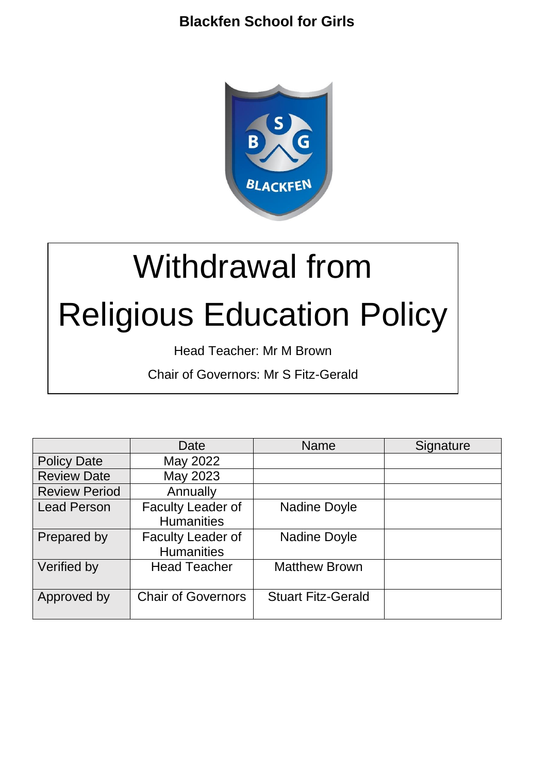

# Withdrawal from Religious Education Policy

Head Teacher: Mr M Brown

Chair of Governors: Mr S Fitz-Gerald

|                      | Date                                          | <b>Name</b>               | Signature |
|----------------------|-----------------------------------------------|---------------------------|-----------|
| <b>Policy Date</b>   | May 2022                                      |                           |           |
| <b>Review Date</b>   | May 2023                                      |                           |           |
| <b>Review Period</b> | Annually                                      |                           |           |
| <b>Lead Person</b>   | <b>Faculty Leader of</b><br><b>Humanities</b> | <b>Nadine Doyle</b>       |           |
| Prepared by          | <b>Faculty Leader of</b><br><b>Humanities</b> | <b>Nadine Doyle</b>       |           |
| Verified by          | <b>Head Teacher</b>                           | <b>Matthew Brown</b>      |           |
| Approved by          | <b>Chair of Governors</b>                     | <b>Stuart Fitz-Gerald</b> |           |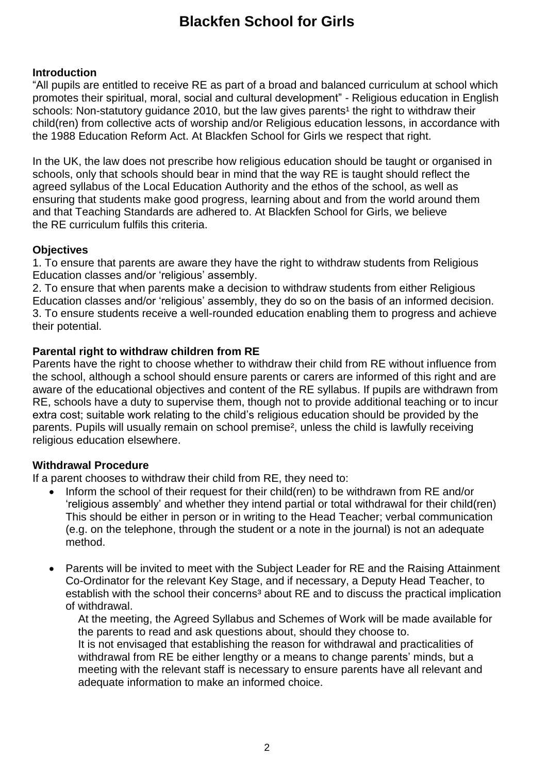#### **Introduction**

"All pupils are entitled to receive RE as part of a broad and balanced curriculum at school which promotes their spiritual, moral, social and cultural development" - Religious education in English schools: Non-statutory guidance 2010, but the law gives parents<sup>1</sup> the right to withdraw their child(ren) from collective acts of worship and/or Religious education lessons, in accordance with the 1988 Education Reform Act. At Blackfen School for Girls we respect that right.

In the UK, the law does not prescribe how religious education should be taught or organised in schools, only that schools should bear in mind that the way RE is taught should reflect the agreed syllabus of the Local Education Authority and the ethos of the school, as well as ensuring that students make good progress, learning about and from the world around them and that Teaching Standards are adhered to. At Blackfen School for Girls, we believe the RE curriculum fulfils this criteria.

#### **Objectives**

1. To ensure that parents are aware they have the right to withdraw students from Religious Education classes and/or 'religious' assembly.

2. To ensure that when parents make a decision to withdraw students from either Religious Education classes and/or 'religious' assembly, they do so on the basis of an informed decision. 3. To ensure students receive a well-rounded education enabling them to progress and achieve their potential.

#### **Parental right to withdraw children from RE**

Parents have the right to choose whether to withdraw their child from RE without influence from the school, although a school should ensure parents or carers are informed of this right and are aware of the educational objectives and content of the RE syllabus. If pupils are withdrawn from RE, schools have a duty to supervise them, though not to provide additional teaching or to incur extra cost; suitable work relating to the child's religious education should be provided by the parents. Pupils will usually remain on school premise<sup>2</sup>, unless the child is lawfully receiving religious education elsewhere.

#### **Withdrawal Procedure**

If a parent chooses to withdraw their child from RE, they need to:

- Inform the school of their request for their child(ren) to be withdrawn from RE and/or 'religious assembly' and whether they intend partial or total withdrawal for their child(ren) This should be either in person or in writing to the Head Teacher; verbal communication (e.g. on the telephone, through the student or a note in the journal) is not an adequate method.
- Parents will be invited to meet with the Subject Leader for RE and the Raising Attainment Co-Ordinator for the relevant Key Stage, and if necessary, a Deputy Head Teacher, to establish with the school their concerns<sup>3</sup> about RE and to discuss the practical implication of withdrawal.

At the meeting, the Agreed Syllabus and Schemes of Work will be made available for the parents to read and ask questions about, should they choose to. It is not envisaged that establishing the reason for withdrawal and practicalities of withdrawal from RE be either lengthy or a means to change parents' minds, but a meeting with the relevant staff is necessary to ensure parents have all relevant and adequate information to make an informed choice.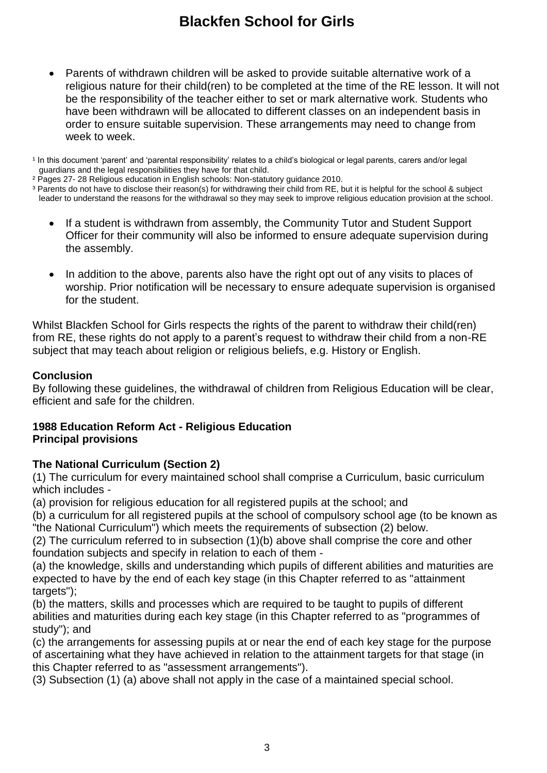• Parents of withdrawn children will be asked to provide suitable alternative work of a religious nature for their child(ren) to be completed at the time of the RE lesson. It will not be the responsibility of the teacher either to set or mark alternative work. Students who have been withdrawn will be allocated to different classes on an independent basis in order to ensure suitable supervision. These arrangements may need to change from week to week.

<sup>1</sup> In this document 'parent' and 'parental responsibility' relates to a child's biological or legal parents, carers and/or legal guardians and the legal responsibilities they have for that child.

² Pages 27- 28 Religious education in English schools: Non-statutory guidance 2010.

³ Parents do not have to disclose their reason(s) for withdrawing their child from RE, but it is helpful for the school & subject leader to understand the reasons for the withdrawal so they may seek to improve religious education provision at the school.

- If a student is withdrawn from assembly, the Community Tutor and Student Support Officer for their community will also be informed to ensure adequate supervision during the assembly.
- In addition to the above, parents also have the right opt out of any visits to places of worship. Prior notification will be necessary to ensure adequate supervision is organised for the student.

Whilst Blackfen School for Girls respects the rights of the parent to withdraw their child(ren) from RE, these rights do not apply to a parent's request to withdraw their child from a non-RE subject that may teach about religion or religious beliefs, e.g. History or English.

#### **Conclusion**

By following these guidelines, the withdrawal of children from Religious Education will be clear, efficient and safe for the children.

#### **1988 Education Reform Act - Religious Education Principal provisions**

#### **The National Curriculum (Section 2)**

(1) The curriculum for every maintained school shall comprise a Curriculum, basic curriculum which includes -

(a) provision for religious education for all registered pupils at the school; and

(b) a curriculum for all registered pupils at the school of compulsory school age (to be known as "the National Curriculum") which meets the requirements of subsection (2) below.

(2) The curriculum referred to in subsection (1)(b) above shall comprise the core and other foundation subjects and specify in relation to each of them -

(a) the knowledge, skills and understanding which pupils of different abilities and maturities are expected to have by the end of each key stage (in this Chapter referred to as "attainment targets"):

(b) the matters, skills and processes which are required to be taught to pupils of different abilities and maturities during each key stage (in this Chapter referred to as "programmes of study"); and

(c) the arrangements for assessing pupils at or near the end of each key stage for the purpose of ascertaining what they have achieved in relation to the attainment targets for that stage (in this Chapter referred to as "assessment arrangements").

(3) Subsection (1) (a) above shall not apply in the case of a maintained special school.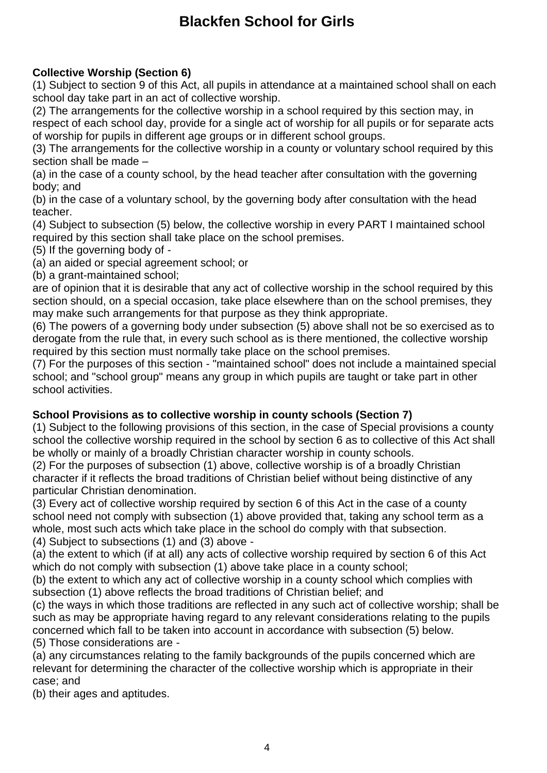### **Collective Worship (Section 6)**

(1) Subject to section 9 of this Act, all pupils in attendance at a maintained school shall on each school day take part in an act of collective worship.

(2) The arrangements for the collective worship in a school required by this section may, in respect of each school day, provide for a single act of worship for all pupils or for separate acts of worship for pupils in different age groups or in different school groups.

(3) The arrangements for the collective worship in a county or voluntary school required by this section shall be made –

(a) in the case of a county school, by the head teacher after consultation with the governing body; and

(b) in the case of a voluntary school, by the governing body after consultation with the head teacher.

(4) Subject to subsection (5) below, the collective worship in every PART I maintained school required by this section shall take place on the school premises.

(5) If the governing body of -

(a) an aided or special agreement school; or

(b) a grant-maintained school;

are of opinion that it is desirable that any act of collective worship in the school required by this section should, on a special occasion, take place elsewhere than on the school premises, they may make such arrangements for that purpose as they think appropriate.

(6) The powers of a governing body under subsection (5) above shall not be so exercised as to derogate from the rule that, in every such school as is there mentioned, the collective worship required by this section must normally take place on the school premises.

(7) For the purposes of this section - "maintained school" does not include a maintained special school; and "school group" means any group in which pupils are taught or take part in other school activities.

#### **School Provisions as to collective worship in county schools (Section 7)**

(1) Subject to the following provisions of this section, in the case of Special provisions a county school the collective worship required in the school by section 6 as to collective of this Act shall be wholly or mainly of a broadly Christian character worship in county schools.

(2) For the purposes of subsection (1) above, collective worship is of a broadly Christian character if it reflects the broad traditions of Christian belief without being distinctive of any particular Christian denomination.

(3) Every act of collective worship required by section 6 of this Act in the case of a county school need not comply with subsection (1) above provided that, taking any school term as a whole, most such acts which take place in the school do comply with that subsection.

(4) Subject to subsections (1) and (3) above -

(a) the extent to which (if at all) any acts of collective worship required by section 6 of this Act which do not comply with subsection (1) above take place in a county school;

(b) the extent to which any act of collective worship in a county school which complies with subsection (1) above reflects the broad traditions of Christian belief; and

(c) the ways in which those traditions are reflected in any such act of collective worship; shall be such as may be appropriate having regard to any relevant considerations relating to the pupils concerned which fall to be taken into account in accordance with subsection (5) below. (5) Those considerations are -

(a) any circumstances relating to the family backgrounds of the pupils concerned which are relevant for determining the character of the collective worship which is appropriate in their case; and

(b) their ages and aptitudes.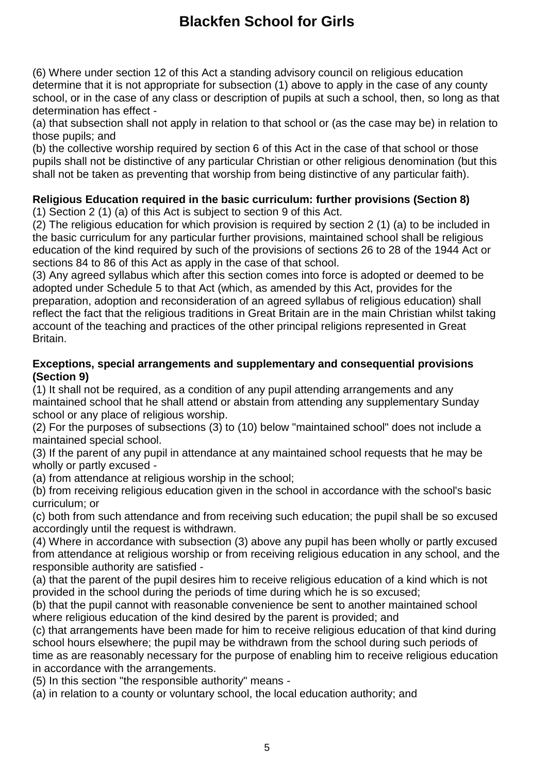(6) Where under section 12 of this Act a standing advisory council on religious education determine that it is not appropriate for subsection (1) above to apply in the case of any county school, or in the case of any class or description of pupils at such a school, then, so long as that determination has effect -

(a) that subsection shall not apply in relation to that school or (as the case may be) in relation to those pupils; and

(b) the collective worship required by section 6 of this Act in the case of that school or those pupils shall not be distinctive of any particular Christian or other religious denomination (but this shall not be taken as preventing that worship from being distinctive of any particular faith).

### **Religious Education required in the basic curriculum: further provisions (Section 8)**

(1) Section 2 (1) (a) of this Act is subject to section 9 of this Act.

(2) The religious education for which provision is required by section 2 (1) (a) to be included in the basic curriculum for any particular further provisions, maintained school shall be religious education of the kind required by such of the provisions of sections 26 to 28 of the 1944 Act or sections 84 to 86 of this Act as apply in the case of that school.

(3) Any agreed syllabus which after this section comes into force is adopted or deemed to be adopted under Schedule 5 to that Act (which, as amended by this Act, provides for the preparation, adoption and reconsideration of an agreed syllabus of religious education) shall reflect the fact that the religious traditions in Great Britain are in the main Christian whilst taking account of the teaching and practices of the other principal religions represented in Great Britain.

#### **Exceptions, special arrangements and supplementary and consequential provisions (Section 9)**

(1) It shall not be required, as a condition of any pupil attending arrangements and any maintained school that he shall attend or abstain from attending any supplementary Sunday school or any place of religious worship.

(2) For the purposes of subsections (3) to (10) below "maintained school" does not include a maintained special school.

(3) If the parent of any pupil in attendance at any maintained school requests that he may be wholly or partly excused -

(a) from attendance at religious worship in the school;

(b) from receiving religious education given in the school in accordance with the school's basic curriculum; or

(c) both from such attendance and from receiving such education; the pupil shall be so excused accordingly until the request is withdrawn.

(4) Where in accordance with subsection (3) above any pupil has been wholly or partly excused from attendance at religious worship or from receiving religious education in any school, and the responsible authority are satisfied -

(a) that the parent of the pupil desires him to receive religious education of a kind which is not provided in the school during the periods of time during which he is so excused;

(b) that the pupil cannot with reasonable convenience be sent to another maintained school where religious education of the kind desired by the parent is provided; and

(c) that arrangements have been made for him to receive religious education of that kind during school hours elsewhere; the pupil may be withdrawn from the school during such periods of time as are reasonably necessary for the purpose of enabling him to receive religious education in accordance with the arrangements.

(5) In this section "the responsible authority" means -

(a) in relation to a county or voluntary school, the local education authority; and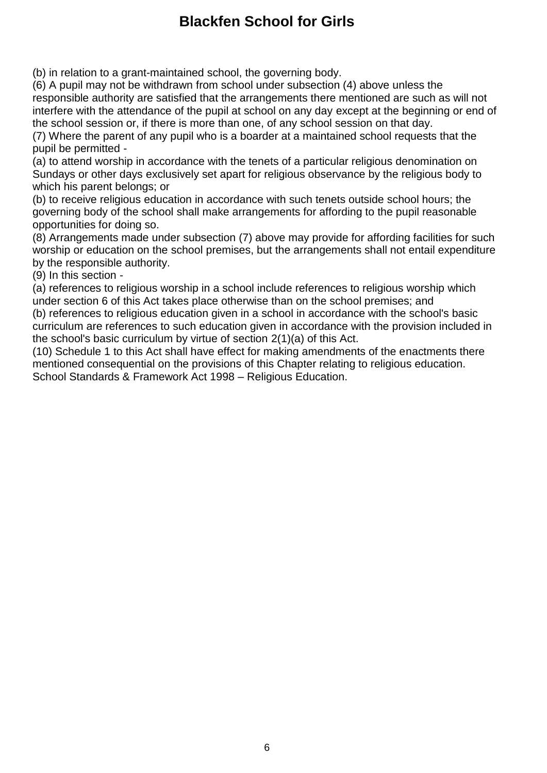(b) in relation to a grant-maintained school, the governing body.

(6) A pupil may not be withdrawn from school under subsection (4) above unless the responsible authority are satisfied that the arrangements there mentioned are such as will not interfere with the attendance of the pupil at school on any day except at the beginning or end of the school session or, if there is more than one, of any school session on that day.

(7) Where the parent of any pupil who is a boarder at a maintained school requests that the pupil be permitted -

(a) to attend worship in accordance with the tenets of a particular religious denomination on Sundays or other days exclusively set apart for religious observance by the religious body to which his parent belongs; or

(b) to receive religious education in accordance with such tenets outside school hours; the governing body of the school shall make arrangements for affording to the pupil reasonable opportunities for doing so.

(8) Arrangements made under subsection (7) above may provide for affording facilities for such worship or education on the school premises, but the arrangements shall not entail expenditure by the responsible authority.

(9) In this section -

(a) references to religious worship in a school include references to religious worship which under section 6 of this Act takes place otherwise than on the school premises; and

(b) references to religious education given in a school in accordance with the school's basic curriculum are references to such education given in accordance with the provision included in the school's basic curriculum by virtue of section 2(1)(a) of this Act.

(10) Schedule 1 to this Act shall have effect for making amendments of the enactments there mentioned consequential on the provisions of this Chapter relating to religious education. School Standards & Framework Act 1998 – Religious Education.